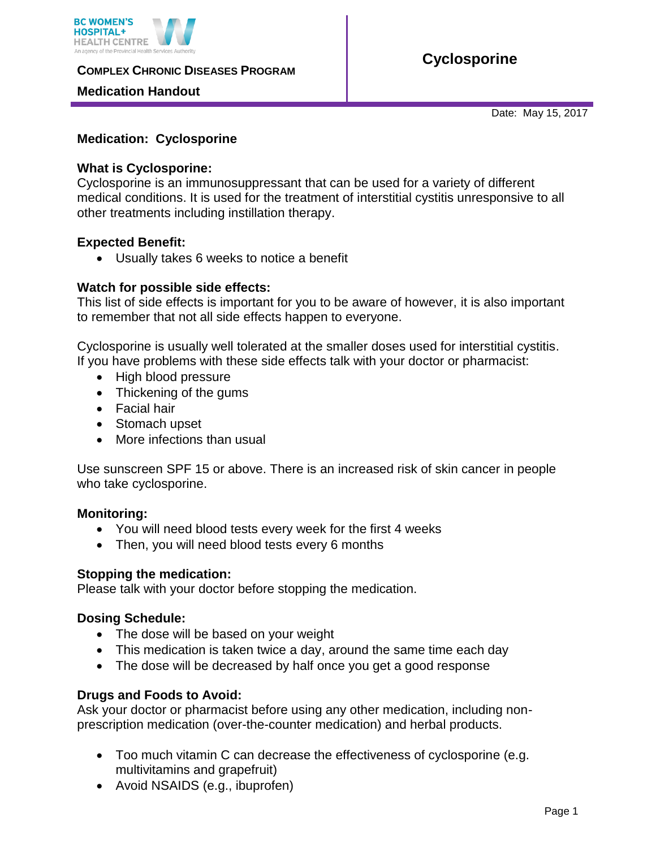

**COMPLEX CHRONIC DISEASES PROGRAM** 

## **Medication Handout**

**Cyclosporine**

Date: May 15, 2017

# **Medication: Cyclosporine**

### **What is Cyclosporine:**

Cyclosporine is an immunosuppressant that can be used for a variety of different medical conditions. It is used for the treatment of interstitial cystitis unresponsive to all other treatments including instillation therapy.

## **Expected Benefit:**

Usually takes 6 weeks to notice a benefit

## **Watch for possible side effects:**

This list of side effects is important for you to be aware of however, it is also important to remember that not all side effects happen to everyone.

Cyclosporine is usually well tolerated at the smaller doses used for interstitial cystitis. If you have problems with these side effects talk with your doctor or pharmacist:

- High blood pressure
- Thickening of the gums
- Facial hair
- Stomach upset
- More infections than usual

Use sunscreen SPF 15 or above. There is an increased risk of skin cancer in people who take cyclosporine.

#### **Monitoring:**

- You will need blood tests every week for the first 4 weeks
- Then, you will need blood tests every 6 months

#### **Stopping the medication:**

Please talk with your doctor before stopping the medication.

#### **Dosing Schedule:**

- The dose will be based on your weight
- This medication is taken twice a day, around the same time each day
- The dose will be decreased by half once you get a good response

#### **Drugs and Foods to Avoid:**

Ask your doctor or pharmacist before using any other medication, including nonprescription medication (over-the-counter medication) and herbal products.

- Too much vitamin C can decrease the effectiveness of cyclosporine (e.g. multivitamins and grapefruit)
- Avoid NSAIDS (e.g., ibuprofen)